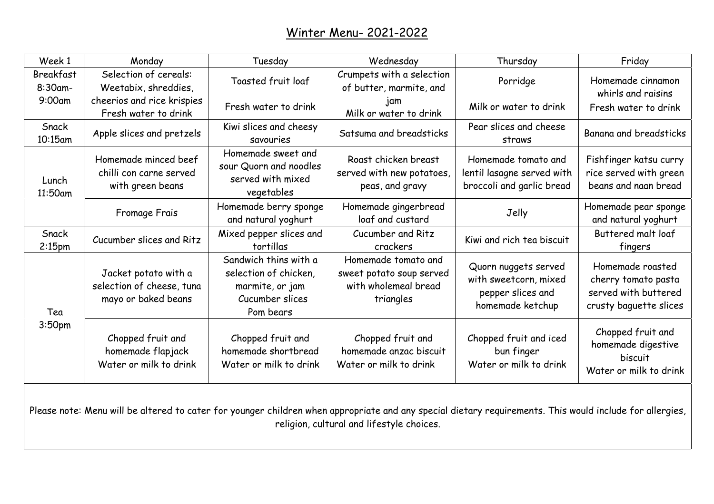| Week 1                      | Monday                                                                   | Tuesday                                                                                           | Wednesday                                                                                                                                                                                         | Thursday                                                                               | Friday                                                                                    |
|-----------------------------|--------------------------------------------------------------------------|---------------------------------------------------------------------------------------------------|---------------------------------------------------------------------------------------------------------------------------------------------------------------------------------------------------|----------------------------------------------------------------------------------------|-------------------------------------------------------------------------------------------|
| <b>Breakfast</b><br>8:30am- | Selection of cereals:<br>Weetabix, shreddies,                            | Toasted fruit loaf                                                                                | Crumpets with a selection<br>of butter, marmite, and                                                                                                                                              | Porridge                                                                               | Homemade cinnamon<br>whirls and raisins                                                   |
| 9:00am                      | cheerios and rice krispies<br>Fresh water to drink                       | Fresh water to drink                                                                              | jam<br>Milk or water to drink                                                                                                                                                                     | Milk or water to drink                                                                 | Fresh water to drink                                                                      |
| Snack<br>10:15am            | Apple slices and pretzels                                                | Kiwi slices and cheesy<br>savouries                                                               | Satsuma and breadsticks                                                                                                                                                                           | Pear slices and cheese<br>straws                                                       | Banana and breadsticks                                                                    |
| Lunch<br>11:50am            | Homemade minced beef<br>chilli con carne served<br>with green beans      | Homemade sweet and<br>sour Quorn and noodles<br>served with mixed<br>vegetables                   | Roast chicken breast<br>served with new potatoes,<br>peas, and gravy                                                                                                                              | Homemade tomato and<br>lentil lasagne served with<br>broccoli and garlic bread         | Fishfinger katsu curry<br>rice served with green<br>beans and naan bread                  |
|                             | Fromage Frais                                                            | Homemade berry sponge<br>and natural yoghurt                                                      | Homemade gingerbread<br>loaf and custard                                                                                                                                                          | Jelly                                                                                  | Homemade pear sponge<br>and natural yoghurt                                               |
| Snack<br>2:15 <sub>pm</sub> | Cucumber slices and Ritz                                                 | Mixed pepper slices and<br>tortillas                                                              | Cucumber and Ritz<br>crackers                                                                                                                                                                     | Kiwi and rich tea biscuit                                                              | Buttered malt loaf<br>fingers                                                             |
| Tea<br>3:50pm               | Jacket potato with a<br>selection of cheese, tuna<br>mayo or baked beans | Sandwich thins with a<br>selection of chicken,<br>marmite, or jam<br>Cucumber slices<br>Pom bears | Homemade tomato and<br>sweet potato soup served<br>with wholemeal bread<br>triangles                                                                                                              | Quorn nuggets served<br>with sweetcorn, mixed<br>pepper slices and<br>homemade ketchup | Homemade roasted<br>cherry tomato pasta<br>served with buttered<br>crusty baguette slices |
|                             | Chopped fruit and<br>homemade flapjack<br>Water or milk to drink         | Chopped fruit and<br>homemade shortbread<br>Water or milk to drink                                | Chopped fruit and<br>homemade anzac biscuit<br>Water or milk to drink                                                                                                                             | Chopped fruit and iced<br>bun finger<br>Water or milk to drink                         | Chopped fruit and<br>homemade digestive<br>biscuit<br>Water or milk to drink              |
|                             |                                                                          |                                                                                                   | Please note: Menu will be altered to cater for younger children when appropriate and any special dietary requirements. This would include for allergies,<br>antinian automaland tifaatula ahajaaq |                                                                                        |                                                                                           |

religion, cultural and lifestyle choices.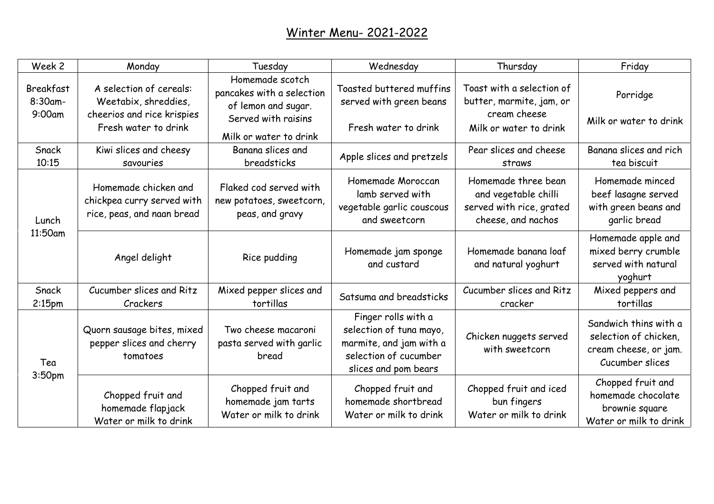| Week 2                            | Monday                                                                                                | Tuesday                                                                                                              | Wednesday                                                                                                                  | Thursday                                                                                        | Friday                                                                                     |
|-----------------------------------|-------------------------------------------------------------------------------------------------------|----------------------------------------------------------------------------------------------------------------------|----------------------------------------------------------------------------------------------------------------------------|-------------------------------------------------------------------------------------------------|--------------------------------------------------------------------------------------------|
| Breakfast<br>8:30am-<br>$9:00$ am | A selection of cereals:<br>Weetabix, shreddies,<br>cheerios and rice krispies<br>Fresh water to drink | Homemade scotch<br>pancakes with a selection<br>of lemon and sugar.<br>Served with raisins<br>Milk or water to drink | Toasted buttered muffins<br>served with green beans<br>Fresh water to drink                                                | Toast with a selection of<br>butter, marmite, jam, or<br>cream cheese<br>Milk or water to drink | Porridge<br>Milk or water to drink                                                         |
| Snack<br>10:15                    | Kiwi slices and cheesy<br>savouries                                                                   | Banana slices and<br>breadsticks                                                                                     | Apple slices and pretzels                                                                                                  | Pear slices and cheese<br>straws                                                                | Banana slices and rich<br>tea biscuit                                                      |
| Lunch<br>11:50am                  | Homemade chicken and<br>chickpea curry served with<br>rice, peas, and naan bread                      | Flaked cod served with<br>new potatoes, sweetcorn,<br>peas, and gravy                                                | Homemade Moroccan<br>lamb served with<br>vegetable garlic couscous<br>and sweetcorn                                        | Homemade three bean<br>and vegetable chilli<br>served with rice, grated<br>cheese, and nachos   | Homemade minced<br>beef lasagne served<br>with green beans and<br>garlic bread             |
|                                   | Angel delight                                                                                         | Rice pudding                                                                                                         | Homemade jam sponge<br>and custard                                                                                         | Homemade banana loaf<br>and natural yoghurt                                                     | Homemade apple and<br>mixed berry crumble<br>served with natural<br>yoghurt                |
| Snack<br>$2:15$ pm                | Cucumber slices and Ritz<br>Crackers                                                                  | Mixed pepper slices and<br>tortillas                                                                                 | Satsuma and breadsticks                                                                                                    | Cucumber slices and Ritz<br>cracker                                                             | Mixed peppers and<br>tortillas                                                             |
| Tea<br>3:50 <sub>pm</sub>         | Quorn sausage bites, mixed<br>pepper slices and cherry<br>tomatoes                                    | Two cheese macaroni<br>pasta served with garlic<br>bread                                                             | Finger rolls with a<br>selection of tuna mayo,<br>marmite, and jam with a<br>selection of cucumber<br>slices and pom bears | Chicken nuggets served<br>with sweetcorn                                                        | Sandwich thins with a<br>selection of chicken,<br>cream cheese, or jam.<br>Cucumber slices |
|                                   | Chopped fruit and<br>homemade flapjack<br>Water or milk to drink                                      | Chopped fruit and<br>homemade jam tarts<br>Water or milk to drink                                                    | Chopped fruit and<br>homemade shortbread<br>Water or milk to drink                                                         | Chopped fruit and iced<br>bun fingers<br>Water or milk to drink                                 | Chopped fruit and<br>homemade chocolate<br>brownie square<br>Water or milk to drink        |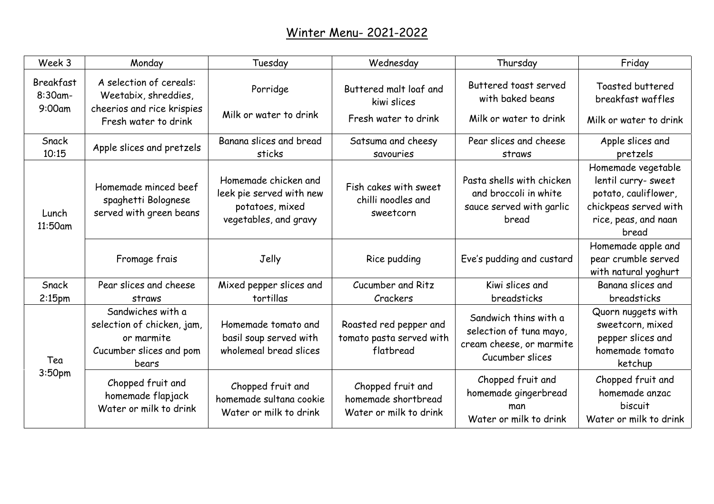| Week 3                            | Monday                                                                                                | Tuesday                                                                                      | Wednesday                                                          | Thursday                                                                                        | Friday                                                                                                                      |
|-----------------------------------|-------------------------------------------------------------------------------------------------------|----------------------------------------------------------------------------------------------|--------------------------------------------------------------------|-------------------------------------------------------------------------------------------------|-----------------------------------------------------------------------------------------------------------------------------|
| Breakfast<br>$8:30$ am-<br>9:00am | A selection of cereals:<br>Weetabix, shreddies,<br>cheerios and rice krispies<br>Fresh water to drink | Porridge<br>Milk or water to drink                                                           | Buttered malt loaf and<br>kiwi slices<br>Fresh water to drink      | Buttered toast served<br>with baked beans<br>Milk or water to drink                             | Toasted buttered<br>breakfast waffles<br>Milk or water to drink                                                             |
| Snack<br>10:15                    | Apple slices and pretzels                                                                             | Banana slices and bread<br>sticks                                                            | Satsuma and cheesy<br>savouries                                    | Pear slices and cheese<br>straws                                                                | Apple slices and<br>pretzels                                                                                                |
| Lunch<br>11:50am                  | Homemade minced beef<br>spaghetti Bolognese<br>served with green beans                                | Homemade chicken and<br>leek pie served with new<br>potatoes, mixed<br>vegetables, and gravy | Fish cakes with sweet<br>chilli noodles and<br>sweetcorn           | Pasta shells with chicken<br>and broccoli in white<br>sauce served with garlic<br>bread         | Homemade vegetable<br>lentil curry- sweet<br>potato, cauliflower,<br>chickpeas served with<br>rice, peas, and naan<br>bread |
|                                   | Fromage frais                                                                                         | Jelly                                                                                        | Rice pudding                                                       | Eve's pudding and custard                                                                       | Homemade apple and<br>pear crumble served<br>with natural yoghurt                                                           |
| Snack<br>2:15 <sub>pm</sub>       | Pear slices and cheese<br>straws                                                                      | Mixed pepper slices and<br>tortillas                                                         | Cucumber and Ritz<br>Crackers                                      | Kiwi slices and<br>breadsticks                                                                  | Banana slices and<br>breadsticks                                                                                            |
| Tea<br>3:50 <sub>pm</sub>         | Sandwiches with a<br>selection of chicken, jam,<br>or marmite<br>Cucumber slices and pom<br>bears     | Homemade tomato and<br>basil soup served with<br>wholemeal bread slices                      | Roasted red pepper and<br>tomato pasta served with<br>flatbread    | Sandwich thins with a<br>selection of tuna mayo,<br>cream cheese, or marmite<br>Cucumber slices | Quorn nuggets with<br>sweetcorn, mixed<br>pepper slices and<br>homemade tomato<br>ketchup                                   |
|                                   | Chopped fruit and<br>homemade flapjack<br>Water or milk to drink                                      | Chopped fruit and<br>homemade sultana cookie<br>Water or milk to drink                       | Chopped fruit and<br>homemade shortbread<br>Water or milk to drink | Chopped fruit and<br>homemade gingerbread<br>man<br>Water or milk to drink                      | Chopped fruit and<br>homemade anzac<br>biscuit<br>Water or milk to drink                                                    |